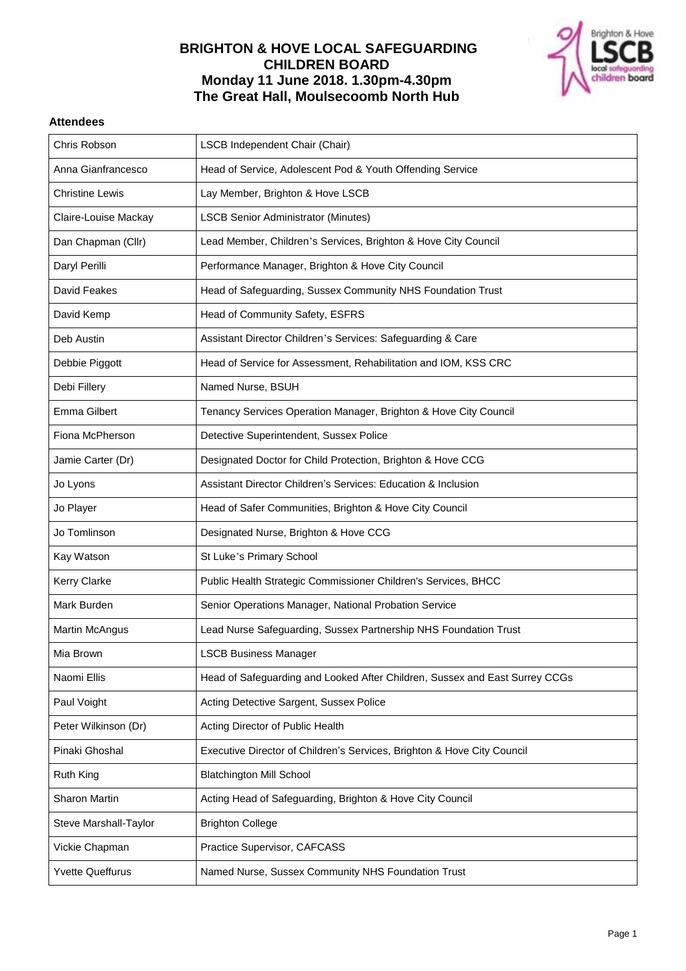## **BRIGHTON & HOVE LOCAL SAFEGUARDING CHILDREN BOARD Monday 11 June 2018. 1.30pm-4.30pm The Great Hall, Moulsecoomb North Hub**



## **Attendees**

| Chris Robson            | LSCB Independent Chair (Chair)                                              |
|-------------------------|-----------------------------------------------------------------------------|
| Anna Gianfrancesco      | Head of Service, Adolescent Pod & Youth Offending Service                   |
| <b>Christine Lewis</b>  | Lay Member, Brighton & Hove LSCB                                            |
| Claire-Louise Mackay    | <b>LSCB Senior Administrator (Minutes)</b>                                  |
| Dan Chapman (Cllr)      | Lead Member, Children's Services, Brighton & Hove City Council              |
| Daryl Perilli           | Performance Manager, Brighton & Hove City Council                           |
| David Feakes            | Head of Safeguarding, Sussex Community NHS Foundation Trust                 |
| David Kemp              | Head of Community Safety, ESFRS                                             |
| Deb Austin              | Assistant Director Children's Services: Safeguarding & Care                 |
| Debbie Piggott          | Head of Service for Assessment, Rehabilitation and IOM, KSS CRC             |
| Debi Fillery            | Named Nurse, BSUH                                                           |
| Emma Gilbert            | Tenancy Services Operation Manager, Brighton & Hove City Council            |
| Fiona McPherson         | Detective Superintendent, Sussex Police                                     |
| Jamie Carter (Dr)       | Designated Doctor for Child Protection, Brighton & Hove CCG                 |
| Jo Lyons                | Assistant Director Children's Services: Education & Inclusion               |
| Jo Player               | Head of Safer Communities, Brighton & Hove City Council                     |
| Jo Tomlinson            | Designated Nurse, Brighton & Hove CCG                                       |
| Kay Watson              | St Luke's Primary School                                                    |
| <b>Kerry Clarke</b>     | Public Health Strategic Commissioner Children's Services, BHCC              |
| Mark Burden             | Senior Operations Manager, National Probation Service                       |
| <b>Martin McAngus</b>   | Lead Nurse Safeguarding, Sussex Partnership NHS Foundation Trust            |
| Mia Brown               | <b>LSCB Business Manager</b>                                                |
| Naomi Ellis             | Head of Safeguarding and Looked After Children, Sussex and East Surrey CCGs |
| Paul Voight             | Acting Detective Sargent, Sussex Police                                     |
| Peter Wilkinson (Dr)    | Acting Director of Public Health                                            |
| Pinaki Ghoshal          | Executive Director of Children's Services, Brighton & Hove City Council     |
| <b>Ruth King</b>        | <b>Blatchington Mill School</b>                                             |
| Sharon Martin           | Acting Head of Safeguarding, Brighton & Hove City Council                   |
| Steve Marshall-Taylor   | <b>Brighton College</b>                                                     |
| Vickie Chapman          | Practice Supervisor, CAFCASS                                                |
| <b>Yvette Queffurus</b> | Named Nurse, Sussex Community NHS Foundation Trust                          |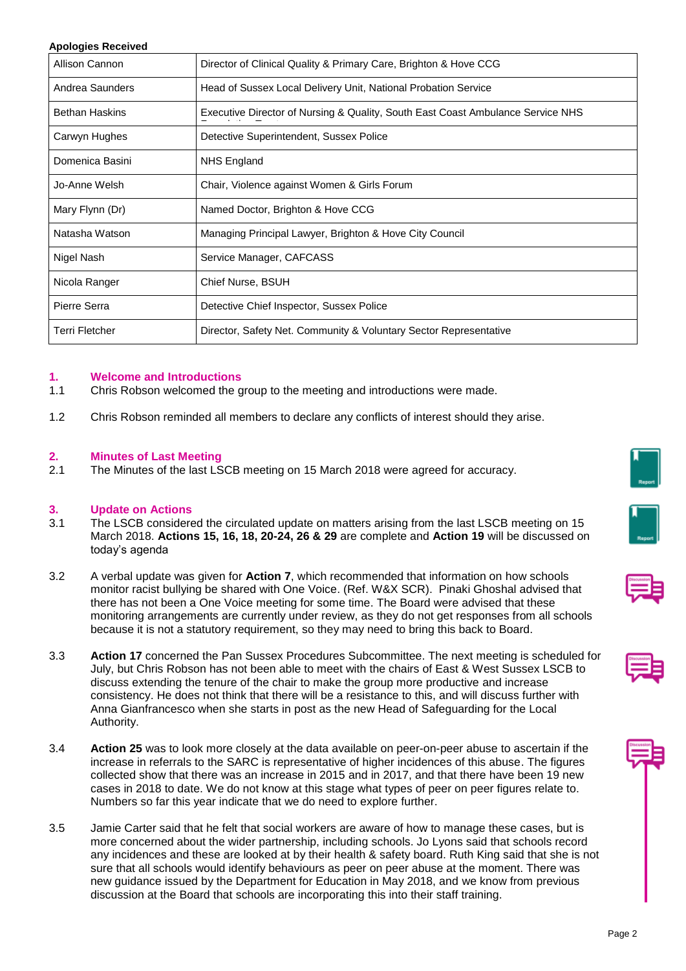#### **Apologies Received**

| Allison Cannon        | Director of Clinical Quality & Primary Care, Brighton & Hove CCG                |
|-----------------------|---------------------------------------------------------------------------------|
| Andrea Saunders       | Head of Sussex Local Delivery Unit, National Probation Service                  |
| <b>Bethan Haskins</b> | Executive Director of Nursing & Quality, South East Coast Ambulance Service NHS |
| Carwyn Hughes         | Detective Superintendent, Sussex Police                                         |
| Domenica Basini       | NHS England                                                                     |
| Jo-Anne Welsh         | Chair, Violence against Women & Girls Forum                                     |
| Mary Flynn (Dr)       | Named Doctor, Brighton & Hove CCG                                               |
| Natasha Watson        | Managing Principal Lawyer, Brighton & Hove City Council                         |
| Nigel Nash            | Service Manager, CAFCASS                                                        |
| Nicola Ranger         | Chief Nurse, BSUH                                                               |
| Pierre Serra          | Detective Chief Inspector, Sussex Police                                        |
| Terri Fletcher        | Director, Safety Net. Community & Voluntary Sector Representative               |

#### **1. Welcome and Introductions**

- 1.1 Chris Robson welcomed the group to the meeting and introductions were made.
- 1.2 Chris Robson reminded all members to declare any conflicts of interest should they arise.

#### **2. Minutes of Last Meeting**

2.1 The Minutes of the last LSCB meeting on 15 March 2018 were agreed for accuracy.

#### **3. Update on Actions**

- 3.1 The LSCB considered the circulated update on matters arising from the last LSCB meeting on 15 March 2018. **Actions 15, 16, 18, 20-24, 26 & 29** are complete and **Action 19** will be discussed on today's agenda
- 3.2 A verbal update was given for **Action 7**, which recommended that information on how schools monitor racist bullying be shared with One Voice. (Ref. W&X SCR). Pinaki Ghoshal advised that there has not been a One Voice meeting for some time. The Board were advised that these monitoring arrangements are currently under review, as they do not get responses from all schools because it is not a statutory requirement, so they may need to bring this back to Board.
- 3.3 **Action 17** concerned the Pan Sussex Procedures Subcommittee. The next meeting is scheduled for July, but Chris Robson has not been able to meet with the chairs of East & West Sussex LSCB to discuss extending the tenure of the chair to make the group more productive and increase consistency. He does not think that there will be a resistance to this, and will discuss further with Anna Gianfrancesco when she starts in post as the new Head of Safeguarding for the Local Authority.
- 3.4 **Action 25** was to look more closely at the data available on peer-on-peer abuse to ascertain if the increase in referrals to the SARC is representative of higher incidences of this abuse. The figures collected show that there was an increase in 2015 and in 2017, and that there have been 19 new cases in 2018 to date. We do not know at this stage what types of peer on peer figures relate to. Numbers so far this year indicate that we do need to explore further.
- 3.5 Jamie Carter said that he felt that social workers are aware of how to manage these cases, but is more concerned about the wider partnership, including schools. Jo Lyons said that schools record any incidences and these are looked at by their health & safety board. Ruth King said that she is not sure that all schools would identify behaviours as peer on peer abuse at the moment. There was new guidance issued by the Department for Education in May 2018, and we know from previous discussion at the Board that schools are incorporating this into their staff training.







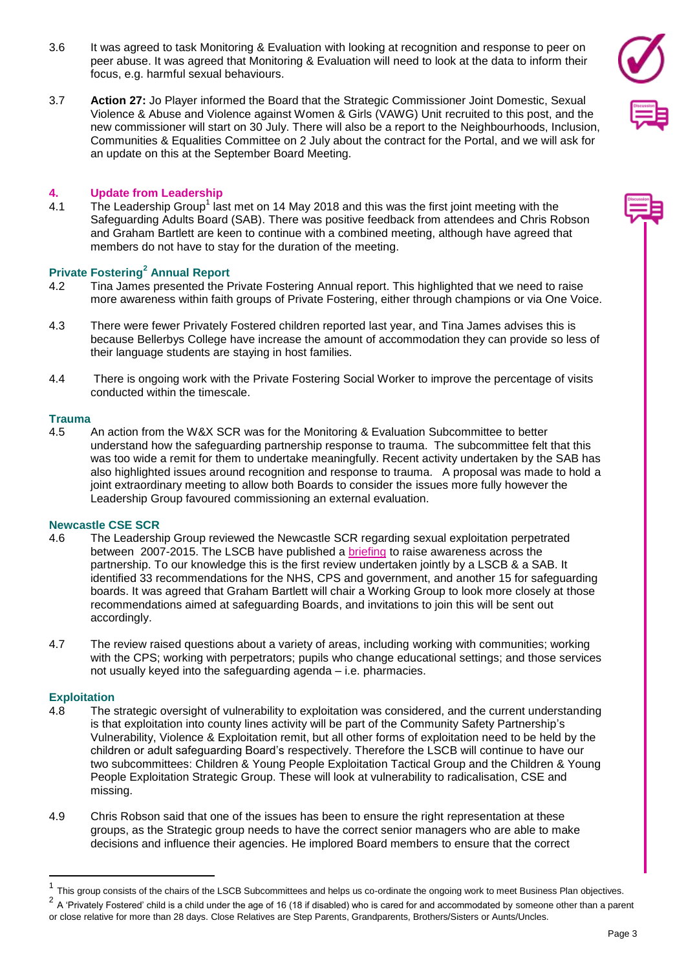- 3.6 It was agreed to task Monitoring & Evaluation with looking at recognition and response to peer on peer abuse. It was agreed that Monitoring & Evaluation will need to look at the data to inform their focus, e.g. harmful sexual behaviours.
- 3.7 **Action 27:** Jo Player informed the Board that the Strategic Commissioner Joint Domestic, Sexual Violence & Abuse and Violence against Women & Girls (VAWG) Unit recruited to this post, and the new commissioner will start on 30 July. There will also be a report to the Neighbourhoods, Inclusion, Communities & Equalities Committee on 2 July about the contract for the Portal, and we will ask for an update on this at the September Board Meeting.

#### **4. Update from Leadership**

4.1 The Leadership Group<sup>1</sup> last met on 14 May 2018 and this was the first joint meeting with the Safeguarding Adults Board (SAB). There was positive feedback from attendees and Chris Robson and Graham Bartlett are keen to continue with a combined meeting, although have agreed that members do not have to stay for the duration of the meeting.

## **Private Fostering<sup>2</sup> Annual Report**

- 4.2 Tina James presented the Private Fostering Annual report. This highlighted that we need to raise more awareness within faith groups of Private Fostering, either through champions or via One Voice.
- 4.3 There were fewer Privately Fostered children reported last year, and Tina James advises this is because Bellerbys College have increase the amount of accommodation they can provide so less of their language students are staying in host families.
- 4.4 There is ongoing work with the Private Fostering Social Worker to improve the percentage of visits conducted within the timescale.

#### **Trauma**

4.5 An action from the W&X SCR was for the Monitoring & Evaluation Subcommittee to better understand how the safeguarding partnership response to trauma. The subcommittee felt that this was too wide a remit for them to undertake meaningfully. Recent activity undertaken by the SAB has also highlighted issues around recognition and response to trauma. A proposal was made to hold a joint extraordinary meeting to allow both Boards to consider the issues more fully however the Leadership Group favoured commissioning an external evaluation.

#### **Newcastle CSE SCR**

- 4.6 The Leadership Group reviewed the Newcastle SCR regarding sexual exploitation perpetrated between 2007-2015. The LSCB have published a [briefing](http://brightonandhovelscb.org.uk/wp-content/uploads/Newcastle-SCR-Briefing.pdf) to raise awareness across the partnership. To our knowledge this is the first review undertaken jointly by a LSCB & a SAB. It identified 33 recommendations for the NHS, CPS and government, and another 15 for safeguarding boards. It was agreed that Graham Bartlett will chair a Working Group to look more closely at those recommendations aimed at safeguarding Boards, and invitations to join this will be sent out accordingly.
- 4.7 The review raised questions about a variety of areas, including working with communities; working with the CPS; working with perpetrators; pupils who change educational settings; and those services not usually keyed into the safeguarding agenda – i.e. pharmacies.

#### **Exploitation**

 $\overline{a}$ 

- 4.8 The strategic oversight of vulnerability to exploitation was considered, and the current understanding is that exploitation into county lines activity will be part of the Community Safety Partnership's Vulnerability, Violence & Exploitation remit, but all other forms of exploitation need to be held by the children or adult safeguarding Board's respectively. Therefore the LSCB will continue to have our two subcommittees: Children & Young People Exploitation Tactical Group and the Children & Young People Exploitation Strategic Group. These will look at vulnerability to radicalisation, CSE and missing.
- 4.9 Chris Robson said that one of the issues has been to ensure the right representation at these groups, as the Strategic group needs to have the correct senior managers who are able to make decisions and influence their agencies. He implored Board members to ensure that the correct

<sup>1</sup> This group consists of the chairs of the LSCB Subcommittees and helps us co-ordinate the ongoing work to meet Business Plan objectives.

<sup>&</sup>lt;sup>2</sup> A 'Privately Fostered' child is a child under the age of 16 (18 if disabled) who is cared for and accommodated by someone other than a parent or close relative for more than 28 days. Close Relatives are Step Parents, Grandparents, Brothers/Sisters or Aunts/Uncles.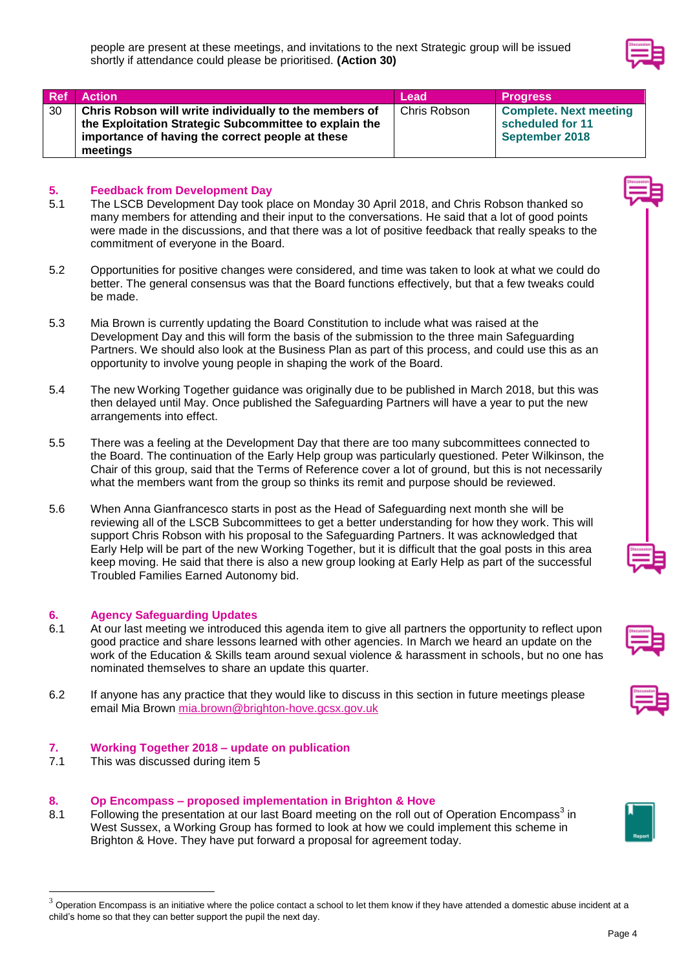| <b>Ref</b> | <b>Action</b>                                          | Lead         | <b>Progress</b>               |
|------------|--------------------------------------------------------|--------------|-------------------------------|
| 30         | Chris Robson will write individually to the members of | Chris Robson | <b>Complete. Next meeting</b> |
|            | the Exploitation Strategic Subcommittee to explain the |              | scheduled for 11              |
|            | importance of having the correct people at these       |              | September 2018                |
|            | meetings                                               |              |                               |

## **5. Feedback from Development Day**

- 5.1 The LSCB Development Day took place on Monday 30 April 2018, and Chris Robson thanked so many members for attending and their input to the conversations. He said that a lot of good points were made in the discussions, and that there was a lot of positive feedback that really speaks to the commitment of everyone in the Board.
- 5.2 Opportunities for positive changes were considered, and time was taken to look at what we could do better. The general consensus was that the Board functions effectively, but that a few tweaks could be made.
- 5.3 Mia Brown is currently updating the Board Constitution to include what was raised at the Development Day and this will form the basis of the submission to the three main Safeguarding Partners. We should also look at the Business Plan as part of this process, and could use this as an opportunity to involve young people in shaping the work of the Board.
- 5.4 The new Working Together guidance was originally due to be published in March 2018, but this was then delayed until May. Once published the Safeguarding Partners will have a year to put the new arrangements into effect.
- 5.5 There was a feeling at the Development Day that there are too many subcommittees connected to the Board. The continuation of the Early Help group was particularly questioned. Peter Wilkinson, the Chair of this group, said that the Terms of Reference cover a lot of ground, but this is not necessarily what the members want from the group so thinks its remit and purpose should be reviewed.
- 5.6 When Anna Gianfrancesco starts in post as the Head of Safeguarding next month she will be reviewing all of the LSCB Subcommittees to get a better understanding for how they work. This will support Chris Robson with his proposal to the Safeguarding Partners. It was acknowledged that Early Help will be part of the new Working Together, but it is difficult that the goal posts in this area keep moving. He said that there is also a new group looking at Early Help as part of the successful Troubled Families Earned Autonomy bid.

## **6. Agency Safeguarding Updates**

- 6.1 At our last meeting we introduced this agenda item to give all partners the opportunity to reflect upon good practice and share lessons learned with other agencies. In March we heard an update on the work of the Education & Skills team around sexual violence & harassment in schools, but no one has nominated themselves to share an update this quarter.
- 6.2 If anyone has any practice that they would like to discuss in this section in future meetings please email Mia Brown [mia.brown@brighton-hove.gcsx.gov.uk](mailto:mia.brown@brighton-hove.gcsx.gov.uk)

## **7. Working Together 2018 – update on publication**

7.1 This was discussed during item 5

 $\overline{a}$ 

# **8. Op Encompass – proposed implementation in Brighton & Hove**

8.1 Following the presentation at our last Board meeting on the roll out of Operation Encompass<sup>3</sup> in West Sussex, a Working Group has formed to look at how we could implement this scheme in Brighton & Hove. They have put forward a proposal for agreement today.







Operation Encompass is an initiative where the police contact a school to let them know if they have attended a domestic abuse incident at a child's home so that they can better support the pupil the next day.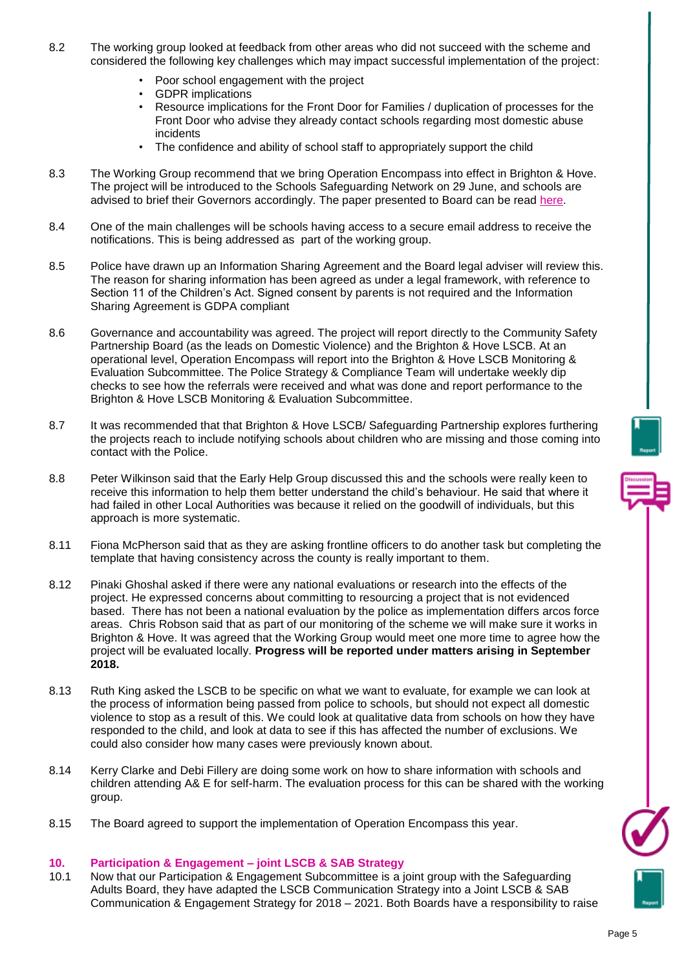- 8.2 The working group looked at feedback from other areas who did not succeed with the scheme and considered the following key challenges which may impact successful implementation of the project:
	- Poor school engagement with the project
	- GDPR implications
	- Resource implications for the Front Door for Families / duplication of processes for the Front Door who advise they already contact schools regarding most domestic abuse incidents
	- The confidence and ability of school staff to appropriately support the child
- 8.3 The Working Group recommend that we bring Operation Encompass into effect in Brighton & Hove. The project will be introduced to the Schools Safeguarding Network on 29 June, and schools are advised to brief their Governors accordingly. The paper presented to Board can be read [here.](http://brightonandhovelscb.org.uk/wp-content/uploads/Op-Encompass-Paper-FINAL.pdf)
- 8.4 One of the main challenges will be schools having access to a secure email address to receive the notifications. This is being addressed as part of the working group.
- 8.5 Police have drawn up an Information Sharing Agreement and the Board legal adviser will review this. The reason for sharing information has been agreed as under a legal framework, with reference to Section 11 of the Children's Act. Signed consent by parents is not required and the Information Sharing Agreement is GDPA compliant
- 8.6 Governance and accountability was agreed. The project will report directly to the Community Safety Partnership Board (as the leads on Domestic Violence) and the Brighton & Hove LSCB. At an operational level, Operation Encompass will report into the Brighton & Hove LSCB Monitoring & Evaluation Subcommittee. The Police Strategy & Compliance Team will undertake weekly dip checks to see how the referrals were received and what was done and report performance to the Brighton & Hove LSCB Monitoring & Evaluation Subcommittee.
- 8.7 It was recommended that that Brighton & Hove LSCB/ Safeguarding Partnership explores furthering the projects reach to include notifying schools about children who are missing and those coming into contact with the Police.
- 8.8 Peter Wilkinson said that the Early Help Group discussed this and the schools were really keen to receive this information to help them better understand the child's behaviour. He said that where it had failed in other Local Authorities was because it relied on the goodwill of individuals, but this approach is more systematic.
- 8.11 Fiona McPherson said that as they are asking frontline officers to do another task but completing the template that having consistency across the county is really important to them.
- 8.12 Pinaki Ghoshal asked if there were any national evaluations or research into the effects of the project. He expressed concerns about committing to resourcing a project that is not evidenced based. There has not been a national evaluation by the police as implementation differs arcos force areas. Chris Robson said that as part of our monitoring of the scheme we will make sure it works in Brighton & Hove. It was agreed that the Working Group would meet one more time to agree how the project will be evaluated locally. **Progress will be reported under matters arising in September 2018.**
- 8.13 Ruth King asked the LSCB to be specific on what we want to evaluate, for example we can look at the process of information being passed from police to schools, but should not expect all domestic violence to stop as a result of this. We could look at qualitative data from schools on how they have responded to the child, and look at data to see if this has affected the number of exclusions. We could also consider how many cases were previously known about.
- 8.14 Kerry Clarke and Debi Fillery are doing some work on how to share information with schools and children attending A& E for self-harm. The evaluation process for this can be shared with the working group.
- 8.15 The Board agreed to support the implementation of Operation Encompass this year.

## **10. Participation & Engagement – joint LSCB & SAB Strategy**

10.1 Now that our Participation & Engagement Subcommittee is a joint group with the Safeguarding Adults Board, they have adapted the LSCB Communication Strategy into a Joint LSCB & SAB Communication & Engagement Strategy for 2018 – 2021. Both Boards have a responsibility to raise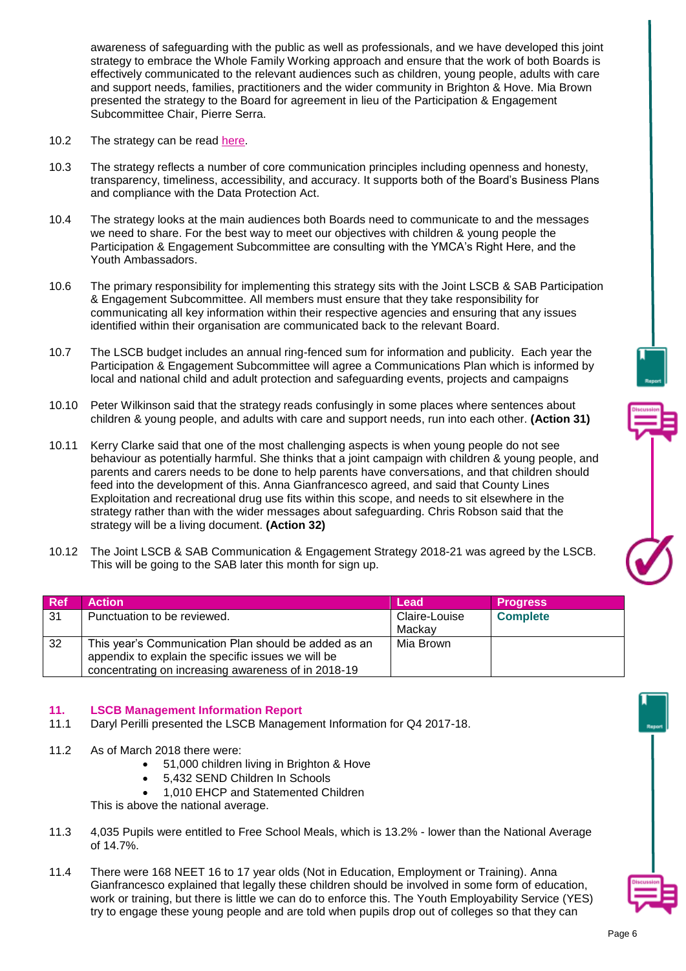awareness of safeguarding with the public as well as professionals, and we have developed this joint strategy to embrace the Whole Family Working approach and ensure that the work of both Boards is effectively communicated to the relevant audiences such as children, young people, adults with care and support needs, families, practitioners and the wider community in Brighton & Hove. Mia Brown presented the strategy to the Board for agreement in lieu of the Participation & Engagement Subcommittee Chair, Pierre Serra.

- 10.2 The strategy can be read [here.](http://www.brightonandhovelscb.org.uk/wp-content/uploads/Joint-LSCB-and-SAB-Communication-Strategy-FINAL-.pdf)
- 10.3 The strategy reflects a number of core communication principles including openness and honesty, transparency, timeliness, accessibility, and accuracy. It supports both of the Board's Business Plans and compliance with the Data Protection Act.
- 10.4 The strategy looks at the main audiences both Boards need to communicate to and the messages we need to share. For the best way to meet our objectives with children & young people the Participation & Engagement Subcommittee are consulting with the YMCA's Right Here, and the Youth Ambassadors.
- 10.6 The primary responsibility for implementing this strategy sits with the Joint LSCB & SAB Participation & Engagement Subcommittee. All members must ensure that they take responsibility for communicating all key information within their respective agencies and ensuring that any issues identified within their organisation are communicated back to the relevant Board.
- 10.7 The LSCB budget includes an annual ring-fenced sum for information and publicity. Each year the Participation & Engagement Subcommittee will agree a Communications Plan which is informed by local and national child and adult protection and safeguarding events, projects and campaigns
- 10.10 Peter Wilkinson said that the strategy reads confusingly in some places where sentences about children & young people, and adults with care and support needs, run into each other. **(Action 31)**
- 10.11 Kerry Clarke said that one of the most challenging aspects is when young people do not see behaviour as potentially harmful. She thinks that a joint campaign with children & young people, and parents and carers needs to be done to help parents have conversations, and that children should feed into the development of this. Anna Gianfrancesco agreed, and said that County Lines Exploitation and recreational drug use fits within this scope, and needs to sit elsewhere in the strategy rather than with the wider messages about safeguarding. Chris Robson said that the strategy will be a living document. **(Action 32)**
- 10.12 The Joint LSCB & SAB Communication & Engagement Strategy 2018-21 was agreed by the LSCB. This will be going to the SAB later this month for sign up.

| <b>Ref</b> | <b>Action</b>                                        | Lead          | <b>Progress</b> |
|------------|------------------------------------------------------|---------------|-----------------|
| 31         | Punctuation to be reviewed.                          | Claire-Louise | <b>Complete</b> |
|            |                                                      | Mackav        |                 |
| 32         | This year's Communication Plan should be added as an | Mia Brown     |                 |
|            | appendix to explain the specific issues we will be   |               |                 |
|            | concentrating on increasing awareness of in 2018-19  |               |                 |

## **11. LSCB Management Information Report**

- 11.1 Daryl Perilli presented the LSCB Management Information for Q4 2017-18.
- 11.2 As of March 2018 there were:
	- 51,000 children living in Brighton & Hove
	- 5,432 SEND Children In Schools
	- 1,010 EHCP and Statemented Children

This is above the national average.

- 11.3 4,035 Pupils were entitled to Free School Meals, which is 13.2% lower than the National Average of 14.7%.
- 11.4 There were 168 NEET 16 to 17 year olds (Not in Education, Employment or Training). Anna Gianfrancesco explained that legally these children should be involved in some form of education, work or training, but there is little we can do to enforce this. The Youth Employability Service (YES) try to engage these young people and are told when pupils drop out of colleges so that they can

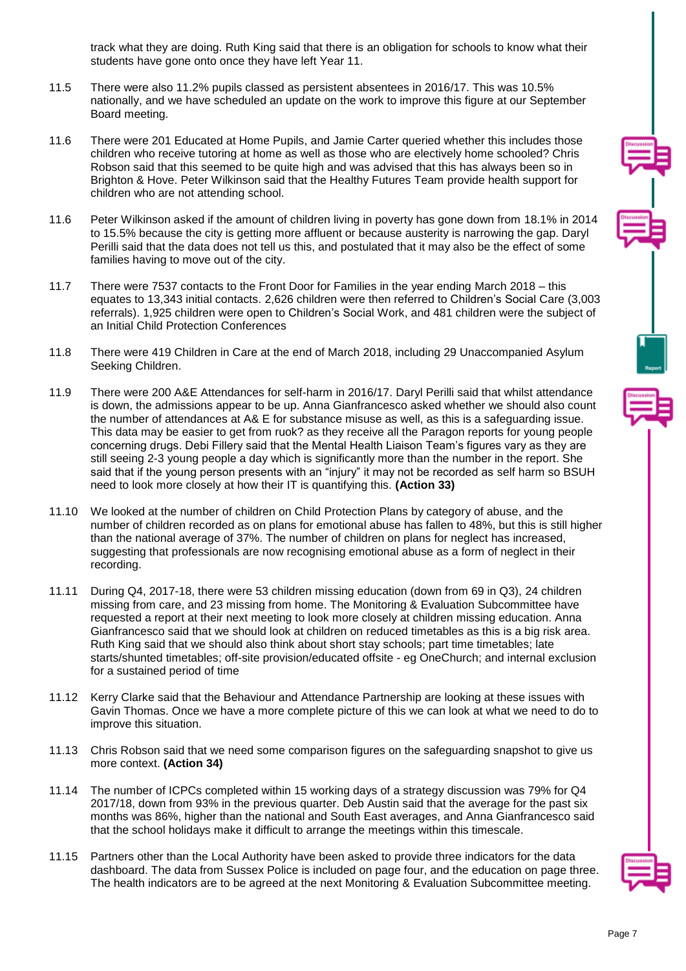track what they are doing. Ruth King said that there is an obligation for schools to know what their students have gone onto once they have left Year 11.

- 11.5 There were also 11.2% pupils classed as persistent absentees in 2016/17. This was 10.5% nationally, and we have scheduled an update on the work to improve this figure at our September Board meeting.
- 11.6 There were 201 Educated at Home Pupils, and Jamie Carter queried whether this includes those children who receive tutoring at home as well as those who are electively home schooled? Chris Robson said that this seemed to be quite high and was advised that this has always been so in Brighton & Hove. Peter Wilkinson said that the Healthy Futures Team provide health support for children who are not attending school.
- 11.6 Peter Wilkinson asked if the amount of children living in poverty has gone down from 18.1% in 2014 to 15.5% because the city is getting more affluent or because austerity is narrowing the gap. Daryl Perilli said that the data does not tell us this, and postulated that it may also be the effect of some families having to move out of the city.
- 11.7 There were 7537 contacts to the Front Door for Families in the year ending March 2018 this equates to 13,343 initial contacts. 2,626 children were then referred to Children's Social Care (3,003 referrals). 1,925 children were open to Children's Social Work, and 481 children were the subject of an Initial Child Protection Conferences
- 11.8 There were 419 Children in Care at the end of March 2018, including 29 Unaccompanied Asylum Seeking Children.
- 11.9 There were 200 A&E Attendances for self-harm in 2016/17. Daryl Perilli said that whilst attendance is down, the admissions appear to be up. Anna Gianfrancesco asked whether we should also count the number of attendances at A& E for substance misuse as well, as this is a safeguarding issue. This data may be easier to get from ruok? as they receive all the Paragon reports for young people concerning drugs. Debi Fillery said that the Mental Health Liaison Team's figures vary as they are still seeing 2-3 young people a day which is significantly more than the number in the report. She said that if the young person presents with an "injury" it may not be recorded as self harm so BSUH need to look more closely at how their IT is quantifying this. **(Action 33)**
- 11.10 We looked at the number of children on Child Protection Plans by category of abuse, and the number of children recorded as on plans for emotional abuse has fallen to 48%, but this is still higher than the national average of 37%. The number of children on plans for neglect has increased, suggesting that professionals are now recognising emotional abuse as a form of neglect in their recording.
- 11.11 During Q4, 2017-18, there were 53 children missing education (down from 69 in Q3), 24 children missing from care, and 23 missing from home. The Monitoring & Evaluation Subcommittee have requested a report at their next meeting to look more closely at children missing education. Anna Gianfrancesco said that we should look at children on reduced timetables as this is a big risk area. Ruth King said that we should also think about short stay schools; part time timetables; late starts/shunted timetables; off-site provision/educated offsite - eg OneChurch; and internal exclusion for a sustained period of time
- 11.12 Kerry Clarke said that the Behaviour and Attendance Partnership are looking at these issues with Gavin Thomas. Once we have a more complete picture of this we can look at what we need to do to improve this situation.
- 11.13 Chris Robson said that we need some comparison figures on the safeguarding snapshot to give us more context. **(Action 34)**
- 11.14 The number of ICPCs completed within 15 working days of a strategy discussion was 79% for Q4 2017/18, down from 93% in the previous quarter. Deb Austin said that the average for the past six months was 86%, higher than the national and South East averages, and Anna Gianfrancesco said that the school holidays make it difficult to arrange the meetings within this timescale.
- 11.15 Partners other than the Local Authority have been asked to provide three indicators for the data dashboard. The data from Sussex Police is included on page four, and the education on page three. The health indicators are to be agreed at the next Monitoring & Evaluation Subcommittee meeting.

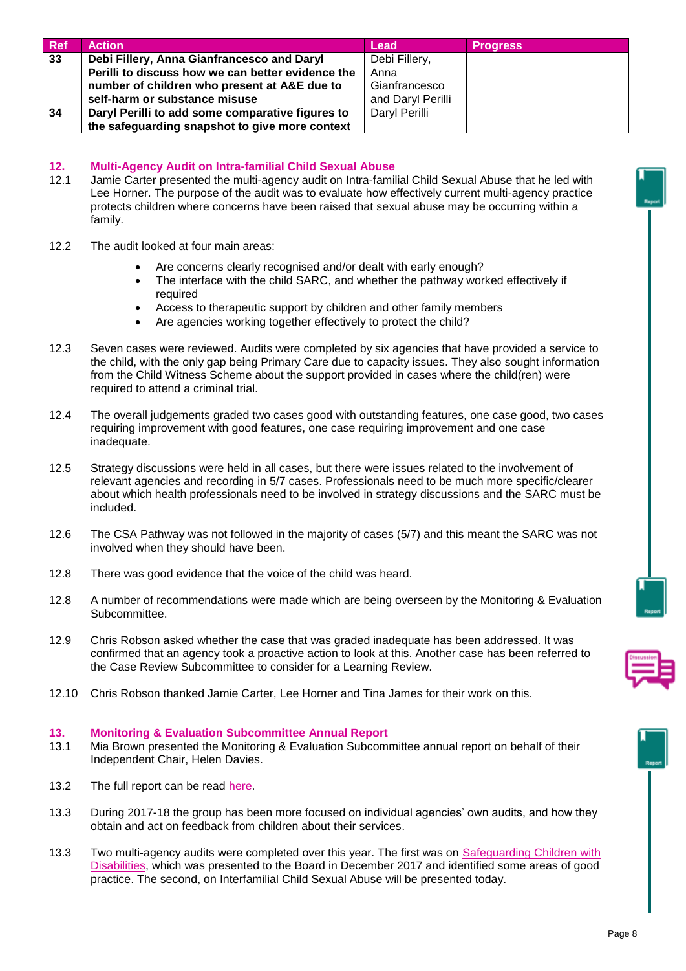| <b>Ref</b> | <b>Action</b>                                     | Lead              | <b>Progress</b> |
|------------|---------------------------------------------------|-------------------|-----------------|
| 33         | Debi Fillery, Anna Gianfrancesco and Daryl        | Debi Fillery,     |                 |
|            | Perilli to discuss how we can better evidence the | Anna              |                 |
|            | number of children who present at A&E due to      | Gianfrancesco     |                 |
|            | self-harm or substance misuse                     | and Daryl Perilli |                 |
| 34         | Daryl Perilli to add some comparative figures to  | Daryl Perilli     |                 |
|            | the safeguarding snapshot to give more context    |                   |                 |

## **12. Multi-Agency Audit on Intra-familial Child Sexual Abuse**

- 12.1 Jamie Carter presented the multi-agency audit on Intra-familial Child Sexual Abuse that he led with Lee Horner. The purpose of the audit was to evaluate how effectively current multi-agency practice protects children where concerns have been raised that sexual abuse may be occurring within a family.
- 12.2 The audit looked at four main areas:
	- Are concerns clearly recognised and/or dealt with early enough?
	- The interface with the child SARC, and whether the pathway worked effectively if required
	- Access to therapeutic support by children and other family members
	- Are agencies working together effectively to protect the child?
- 12.3 Seven cases were reviewed. Audits were completed by six agencies that have provided a service to the child, with the only gap being Primary Care due to capacity issues. They also sought information from the Child Witness Scheme about the support provided in cases where the child(ren) were required to attend a criminal trial.
- 12.4 The overall judgements graded two cases good with outstanding features, one case good, two cases requiring improvement with good features, one case requiring improvement and one case inadequate.
- 12.5 Strategy discussions were held in all cases, but there were issues related to the involvement of relevant agencies and recording in 5/7 cases. Professionals need to be much more specific/clearer about which health professionals need to be involved in strategy discussions and the SARC must be included.
- 12.6 The CSA Pathway was not followed in the majority of cases (5/7) and this meant the SARC was not involved when they should have been.
- 12.8 There was good evidence that the voice of the child was heard.
- 12.8 A number of recommendations were made which are being overseen by the Monitoring & Evaluation Subcommittee.
- 12.9 Chris Robson asked whether the case that was graded inadequate has been addressed. It was confirmed that an agency took a proactive action to look at this. Another case has been referred to the Case Review Subcommittee to consider for a Learning Review.
- 12.10 Chris Robson thanked Jamie Carter, Lee Horner and Tina James for their work on this.

#### **13. Monitoring & Evaluation Subcommittee Annual Report**

- 13.1 Mia Brown presented the Monitoring & Evaluation Subcommittee annual report on behalf of their Independent Chair, Helen Davies.
- 13.2 The full report can be read [here.](http://brightonandhovelscb.org.uk/wp-content/uploads/ANNUAL-REPORT-OF-BRIGHTON-AND-HOVE-LSCB-MONITORING-AND-EVALUATION-SUB-COMMITTEE-May-2018-Autosaved.pdf)
- 13.3 During 2017-18 the group has been more focused on individual agencies' own audits, and how they obtain and act on feedback from children about their services.
- 13.3 Two multi-agency audits were completed over this year. The first was on **Safeguarding Children with** [Disabilities,](http://brightonandhovelscb.org.uk/safeguarding-children-with-disabilities/) which was presented to the Board in December 2017 and identified some areas of good practice. The second, on Interfamilial Child Sexual Abuse will be presented today.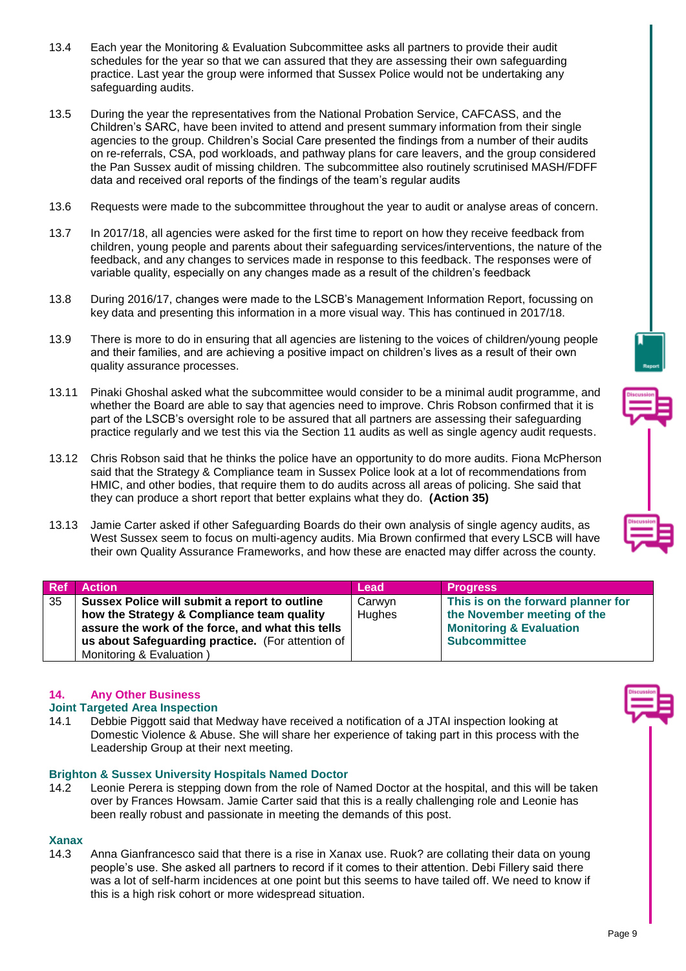- 13.4 Each year the Monitoring & Evaluation Subcommittee asks all partners to provide their audit schedules for the year so that we can assured that they are assessing their own safeguarding practice. Last year the group were informed that Sussex Police would not be undertaking any safeguarding audits.
- 13.5 During the year the representatives from the National Probation Service, CAFCASS, and the Children's SARC, have been invited to attend and present summary information from their single agencies to the group. Children's Social Care presented the findings from a number of their audits on re-referrals, CSA, pod workloads, and pathway plans for care leavers, and the group considered the Pan Sussex audit of missing children. The subcommittee also routinely scrutinised MASH/FDFF data and received oral reports of the findings of the team's regular audits
- 13.6 Requests were made to the subcommittee throughout the year to audit or analyse areas of concern.
- 13.7 In 2017/18, all agencies were asked for the first time to report on how they receive feedback from children, young people and parents about their safeguarding services/interventions, the nature of the feedback, and any changes to services made in response to this feedback. The responses were of variable quality, especially on any changes made as a result of the children's feedback
- 13.8 During 2016/17, changes were made to the LSCB's Management Information Report, focussing on key data and presenting this information in a more visual way. This has continued in 2017/18.
- 13.9 There is more to do in ensuring that all agencies are listening to the voices of children/young people and their families, and are achieving a positive impact on children's lives as a result of their own quality assurance processes.
- 13.11 Pinaki Ghoshal asked what the subcommittee would consider to be a minimal audit programme, and whether the Board are able to say that agencies need to improve. Chris Robson confirmed that it is part of the LSCB's oversight role to be assured that all partners are assessing their safeguarding practice regularly and we test this via the Section 11 audits as well as single agency audit requests.
- 13.12 Chris Robson said that he thinks the police have an opportunity to do more audits. Fiona McPherson said that the Strategy & Compliance team in Sussex Police look at a lot of recommendations from HMIC, and other bodies, that require them to do audits across all areas of policing. She said that they can produce a short report that better explains what they do. **(Action 35)**
- 13.13 Jamie Carter asked if other Safeguarding Boards do their own analysis of single agency audits, as West Sussex seem to focus on multi-agency audits. Mia Brown confirmed that every LSCB will have their own Quality Assurance Frameworks, and how these are enacted may differ across the county.

| <b>Ref</b> | <b>Action</b>                                     | Lead   | <b>Progress</b>                    |
|------------|---------------------------------------------------|--------|------------------------------------|
| 35         | Sussex Police will submit a report to outline     | Carwyn | This is on the forward planner for |
|            | how the Strategy & Compliance team quality        | Hughes | the November meeting of the        |
|            | assure the work of the force, and what this tells |        | <b>Monitoring &amp; Evaluation</b> |
|            | us about Safeguarding practice. (For attention of |        | <b>Subcommittee</b>                |
|            | Monitoring & Evaluation)                          |        |                                    |

## **14. Any Other Business**

## **Joint Targeted Area Inspection**

14.1 Debbie Piggott said that Medway have received a notification of a JTAI inspection looking at Domestic Violence & Abuse. She will share her experience of taking part in this process with the Leadership Group at their next meeting.

## **Brighton & Sussex University Hospitals Named Doctor**

14.2 Leonie Perera is stepping down from the role of Named Doctor at the hospital, and this will be taken over by Frances Howsam. Jamie Carter said that this is a really challenging role and Leonie has been really robust and passionate in meeting the demands of this post.

## **Xanax**

14.3 Anna Gianfrancesco said that there is a rise in Xanax use. Ruok? are collating their data on young people's use. She asked all partners to record if it comes to their attention. Debi Fillery said there was a lot of self-harm incidences at one point but this seems to have tailed off. We need to know if this is a high risk cohort or more widespread situation.